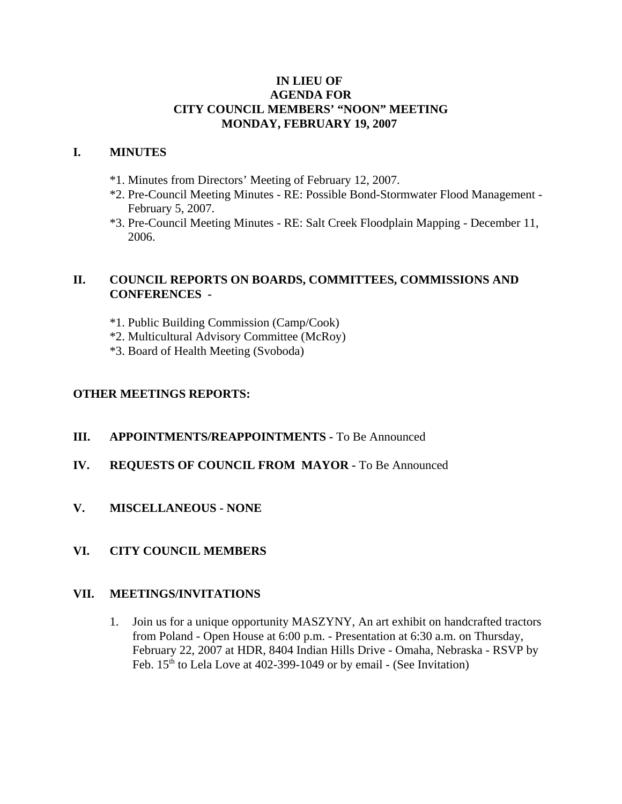## **IN LIEU OF AGENDA FOR CITY COUNCIL MEMBERS' "NOON" MEETING MONDAY, FEBRUARY 19, 2007**

## **I. MINUTES**

- \*1. Minutes from Directors' Meeting of February 12, 2007.
- \*2. Pre-Council Meeting Minutes RE: Possible Bond-Stormwater Flood Management February 5, 2007.
- \*3. Pre-Council Meeting Minutes RE: Salt Creek Floodplain Mapping December 11, 2006.

# **II. COUNCIL REPORTS ON BOARDS, COMMITTEES, COMMISSIONS AND CONFERENCES -**

- \*1. Public Building Commission (Camp/Cook)
- \*2. Multicultural Advisory Committee (McRoy)
- \*3. Board of Health Meeting (Svoboda)

## **OTHER MEETINGS REPORTS:**

- **III.** APPOINTMENTS/REAPPOINTMENTS To Be Announced
- **IV. REQUESTS OF COUNCIL FROM MAYOR -** To Be Announced
- **V. MISCELLANEOUS NONE**
- **VI. CITY COUNCIL MEMBERS**

#### **VII. MEETINGS/INVITATIONS**

1. Join us for a unique opportunity MASZYNY, An art exhibit on handcrafted tractors from Poland - Open House at 6:00 p.m. - Presentation at 6:30 a.m. on Thursday, February 22, 2007 at HDR, 8404 Indian Hills Drive - Omaha, Nebraska - RSVP by Feb.  $15<sup>th</sup>$  to Lela Love at 402-399-1049 or by email - (See Invitation)